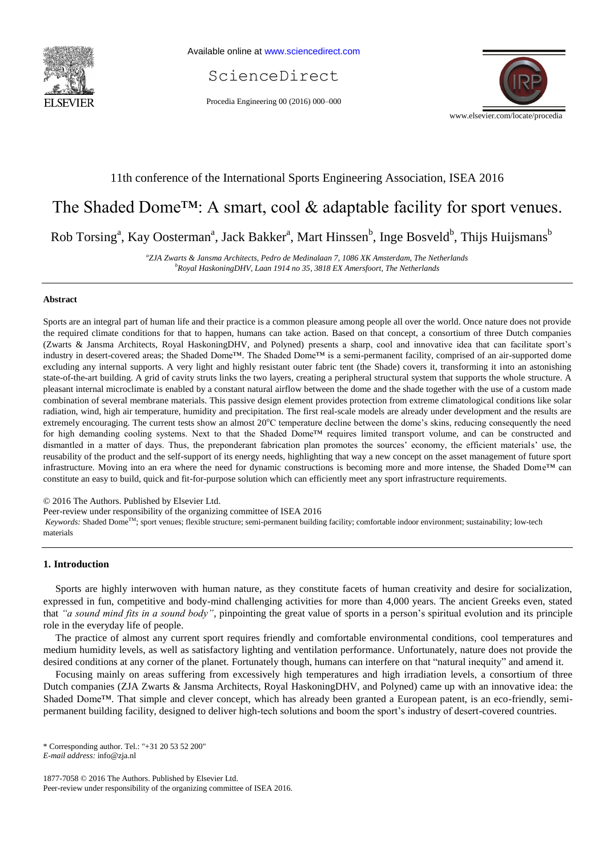

Available online at [www.sciencedirect.com](http://www.sciencedirect.com/science/journal/22128271)

ScienceDirect

Procedia Engineering 00 (2016) 000–000



# 11th conference of the International Sports Engineering Association, ISEA 2016

# The Shaded Dome™: A smart, cool & adaptable facility for sport venues.

Rob Torsing<sup>a</sup>, Kay Oosterman<sup>a</sup>, Jack Bakker<sup>a</sup>, Mart Hinssen<sup>b</sup>, Inge Bosveld<sup>b</sup>, Thijs Huijsmans<sup>b</sup>

*a ZJA Zwarts & Jansma Architects, Pedro de Medinalaan 7, 1086 XK Amsterdam, The Netherlands <sup>b</sup>Royal HaskoningDHV, Laan 1914 no 35, 3818 EX Amersfoort, The Netherlands*

# **Abstract**

Sports are an integral part of human life and their practice is a common pleasure among people all over the world. Once nature does not provide the required climate conditions for that to happen, humans can take action. Based on that concept, a consortium of three Dutch companies (Zwarts & Jansma Architects, Royal HaskoningDHV, and Polyned) presents a sharp, cool and innovative idea that can facilitate sport's industry in desert-covered areas; the Shaded Dome™. The Shaded Dome™ is a semi-permanent facility, comprised of an air-supported dome excluding any internal supports. A very light and highly resistant outer fabric tent (the Shade) covers it, transforming it into an astonishing state-of-the-art building. A grid of cavity struts links the two layers, creating a peripheral structural system that supports the whole structure. A pleasant internal microclimate is enabled by a constant natural airflow between the dome and the shade together with the use of a custom made combination of several membrane materials. This passive design element provides protection from extreme climatological conditions like solar radiation, wind, high air temperature, humidity and precipitation. The first real-scale models are already under development and the results are extremely encouraging. The current tests show an almost 20°C temperature decline between the dome's skins, reducing consequently the need for high demanding cooling systems. Next to that the Shaded Dome™ requires limited transport volume, and can be constructed and dismantled in a matter of days. Thus, the preponderant fabrication plan promotes the sources' economy, the efficient materials' use, the reusability of the product and the self-support of its energy needs, highlighting that way a new concept on the asset management of future sport infrastructure. Moving into an era where the need for dynamic constructions is becoming more and more intense, the Shaded Dome™ can constitute an easy to build, quick and fit-for-purpose solution which can efficiently meet any sport infrastructure requirements.

© 2016 The Authors. Published by Elsevier Ltd.

Peer-review under responsibility of the organizing committee of ISEA 2016

*Keywords:* Shaded DomeTM; sport venues; flexible structure; semi-permanent building facility; comfortable indoor environment; sustainability; low-tech materials

# **1. Introduction**

Sports are highly interwoven with human nature, as they constitute facets of human creativity and desire for socialization, expressed in fun, competitive and body-mind challenging activities for more than 4,000 years. The ancient Greeks even, stated that *"a sound mind fits in a sound body",* pinpointing the great value of sports in a person's spiritual evolution and its principle role in the everyday life of people.

The practice of almost any current sport requires friendly and comfortable environmental conditions, cool temperatures and medium humidity levels, as well as satisfactory lighting and ventilation performance. Unfortunately, nature does not provide the desired conditions at any corner of the planet. Fortunately though, humans can interfere on that "natural inequity" and amend it.

Focusing mainly on areas suffering from excessively high temperatures and high irradiation levels, a consortium of three Dutch companies (ZJA Zwarts & Jansma Architects, Royal HaskoningDHV, and Polyned) came up with an innovative idea: the Shaded Dome™. That simple and clever concept, which has already been granted a European patent, is an eco-friendly, semipermanent building facility, designed to deliver high-tech solutions and boom the sport's industry of desert-covered countries.

1877-7058 © 2016 The Authors. Published by Elsevier Ltd. Peer-review under responsibility of the organizing committee of ISEA 2016.

<sup>\*</sup> Corresponding author. Tel.: "+31 20 53 52 200" *E-mail address:* info@zja.nl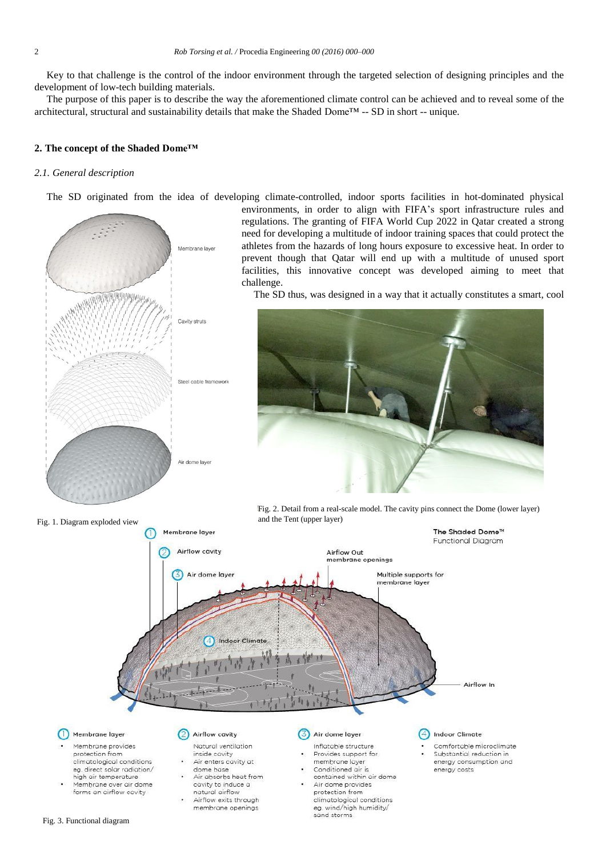Key to that challenge is the control of the indoor environment through the targeted selection of designing principles and the development of low-tech building materials.

The purpose of this paper is to describe the way the aforementioned climate control can be achieved and to reveal some of the architectural, structural and sustainability details that make the Shaded Dome™ -- SD in short -- unique.

#### **2. The concept of the Shaded Dome™**

## *2.1. General description*

The SD originated from the idea of developing climate-controlled, indoor sports facilities in hot-dominated physical



environments, in order to align with FIFA's sport infrastructure rules and regulations. The granting of FIFA World Cup 2022 in Qatar created a strong need for developing a multitude of indoor training spaces that could protect the athletes from the hazards of long hours exposure to excessive heat. In order to prevent though that Qatar will end up with a multitude of unused sport facilities, this innovative concept was developed aiming to meet that challenge.

The SD thus, was designed in a way that it actually constitutes a smart, cool



Fig. 2. Detail from a real-scale model. The cavity pins connect the Dome (lower layer)



protection from

climatological conditions

eg. wind/high humidity/ sand storms

natural airflow

Airflow exits through

membrane openings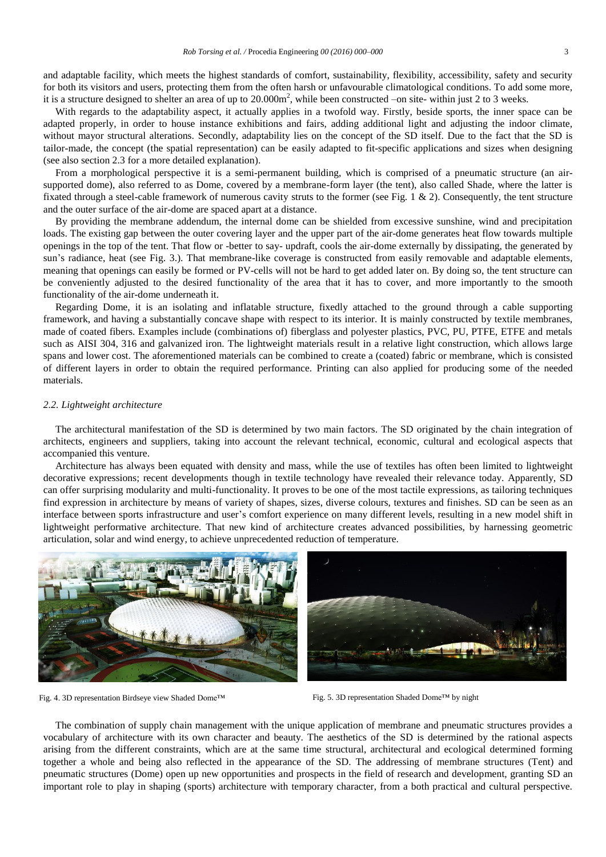and adaptable facility, which meets the highest standards of comfort, sustainability, flexibility, accessibility, safety and security for both its visitors and users, protecting them from the often harsh or unfavourable climatological conditions. To add some more, it is a structure designed to shelter an area of up to  $20.000m^2$ , while been constructed –on site- within just 2 to 3 weeks.

With regards to the adaptability aspect, it actually applies in a twofold way. Firstly, beside sports, the inner space can be adapted properly, in order to house instance exhibitions and fairs, adding additional light and adjusting the indoor climate, without mayor structural alterations. Secondly, adaptability lies on the concept of the SD itself. Due to the fact that the SD is tailor-made, the concept (the spatial representation) can be easily adapted to fit-specific applications and sizes when designing (see also section 2.3 for a more detailed explanation).

From a morphological perspective it is a semi-permanent building, which is comprised of a pneumatic structure (an airsupported dome), also referred to as Dome, covered by a membrane-form layer (the tent), also called Shade, where the latter is fixated through a steel-cable framework of numerous cavity struts to the former (see Fig. 1 & 2). Consequently, the tent structure and the outer surface of the air-dome are spaced apart at a distance.

By providing the membrane addendum, the internal dome can be shielded from excessive sunshine, wind and precipitation loads. The existing gap between the outer covering layer and the upper part of the air-dome generates heat flow towards multiple openings in the top of the tent. That flow or -better to say- updraft, cools the air-dome externally by dissipating, the generated by sun's radiance, heat (see Fig. 3.). That membrane-like coverage is constructed from easily removable and adaptable elements, meaning that openings can easily be formed or PV-cells will not be hard to get added later on. By doing so, the tent structure can be conveniently adjusted to the desired functionality of the area that it has to cover, and more importantly to the smooth functionality of the air-dome underneath it.

Regarding Dome, it is an isolating and inflatable structure, fixedly attached to the ground through a cable supporting framework, and having a substantially concave shape with respect to its interior. It is mainly constructed by textile membranes, made of coated fibers. Examples include (combinations of) fiberglass and polyester plastics, PVC, PU, PTFE, ETFE and metals such as AISI 304, 316 and galvanized iron. The lightweight materials result in a relative light construction, which allows large spans and lower cost. The aforementioned materials can be combined to create a (coated) fabric or membrane, which is consisted of different layers in order to obtain the required performance. Printing can also applied for producing some of the needed materials.

#### *2.2. Lightweight architecture*

The architectural manifestation of the SD is determined by two main factors. The SD originated by the chain integration of architects, engineers and suppliers, taking into account the relevant technical, economic, cultural and ecological aspects that accompanied this venture.

Architecture has always been equated with density and mass, while the use of textiles has often been limited to lightweight decorative expressions; recent developments though in textile technology have revealed their relevance today. Apparently, SD can offer surprising modularity and multi-functionality. It proves to be one of the most tactile expressions, as tailoring techniques find expression in architecture by means of variety of shapes, sizes, diverse colours, textures and finishes. SD can be seen as an interface between sports infrastructure and user's comfort experience on many different levels, resulting in a new model shift in lightweight performative architecture. That new kind of architecture creates advanced possibilities, by harnessing geometric articulation, solar and wind energy, to achieve unprecedented reduction of temperature.



Fig. 4. 3D representation Birdseye view Shaded Dome™

Fig. 5. 3D representation Shaded Dome™ by night

The combination of supply chain management with the unique application of membrane and pneumatic structures provides a vocabulary of architecture with its own character and beauty. The aesthetics of the SD is determined by the rational aspects arising from the different constraints, which are at the same time structural, architectural and ecological determined forming together a whole and being also reflected in the appearance of the SD. The addressing of membrane structures (Tent) and pneumatic structures (Dome) open up new opportunities and prospects in the field of research and development, granting SD an important role to play in shaping (sports) architecture with temporary character, from a both practical and cultural perspective.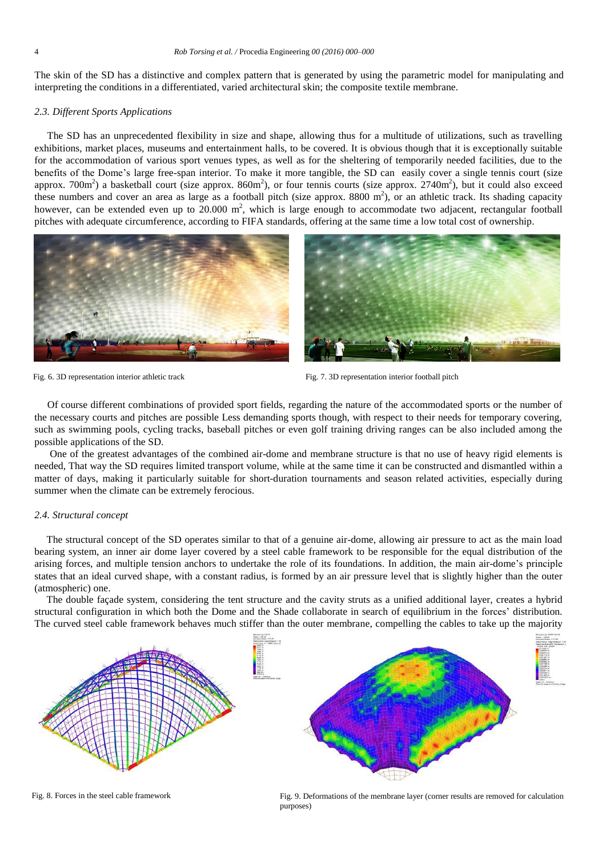The skin of the SD has a distinctive and complex pattern that is generated by using the parametric model for manipulating and interpreting the conditions in a differentiated, varied architectural skin; the composite textile membrane.

#### *2.3. Different Sports Applications*

 The SD has an unprecedented flexibility in size and shape, allowing thus for a multitude of utilizations, such as travelling exhibitions, market places, museums and entertainment halls, to be covered. It is obvious though that it is exceptionally suitable for the accommodation of various sport venues types, as well as for the sheltering of temporarily needed facilities, due to the benefits of the Dome's large free-span interior. To make it more tangible, the SD can easily cover a single tennis court (size approx. 700 $\text{m}^2$ ) a basketball court (size approx. 860 $\text{m}^2$ ), or four tennis courts (size approx. 2740 $\text{m}^2$ ), but it could also exceed these numbers and cover an area as large as a football pitch (size approx.  $8800 \text{ m}^2$ ), or an athletic track. Its shading capacity however, can be extended even up to 20.000  $m^2$ , which is large enough to accommodate two adjacent, rectangular football pitches with adequate circumference, according to FIFA standards, offering at the same time a low total cost of ownership.





Fig. 6. 3D representation interior athletic track

Fig. 7. 3D representation interior football pitch

 Of course different combinations of provided sport fields, regarding the nature of the accommodated sports or the number of the necessary courts and pitches are possible Less demanding sports though, with respect to their needs for temporary covering, such as swimming pools, cycling tracks, baseball pitches or even golf training driving ranges can be also included among the possible applications of the SD.

 One of the greatest advantages of the combined air-dome and membrane structure is that no use of heavy rigid elements is needed, That way the SD requires limited transport volume, while at the same time it can be constructed and dismantled within a matter of days, making it particularly suitable for short-duration tournaments and season related activities, especially during summer when the climate can be extremely ferocious.

#### *2.4. Structural concept*

The structural concept of the SD operates similar to that of a genuine air-dome, allowing air pressure to act as the main load bearing system, an inner air dome layer covered by a steel cable framework to be responsible for the equal distribution of the arising forces, and multiple tension anchors to undertake the role of its foundations. In addition, the main air-dome's principle states that an ideal curved shape, with a constant radius, is formed by an air pressure level that is slightly higher than the outer (atmospheric) one.

The double façade system, considering the tent structure and the cavity struts as a unified additional layer, creates a hybrid structural configuration in which both the Dome and the Shade collaborate in search of equilibrium in the forces' distribution. The curved steel cable framework behaves much stiffer than the outer membrane, compelling the cables to take up the majority



Fig. 8. Forces in the steel cable framework

Fig. 9. Deformations of the membrane layer (corner results are removed for calculation purposes)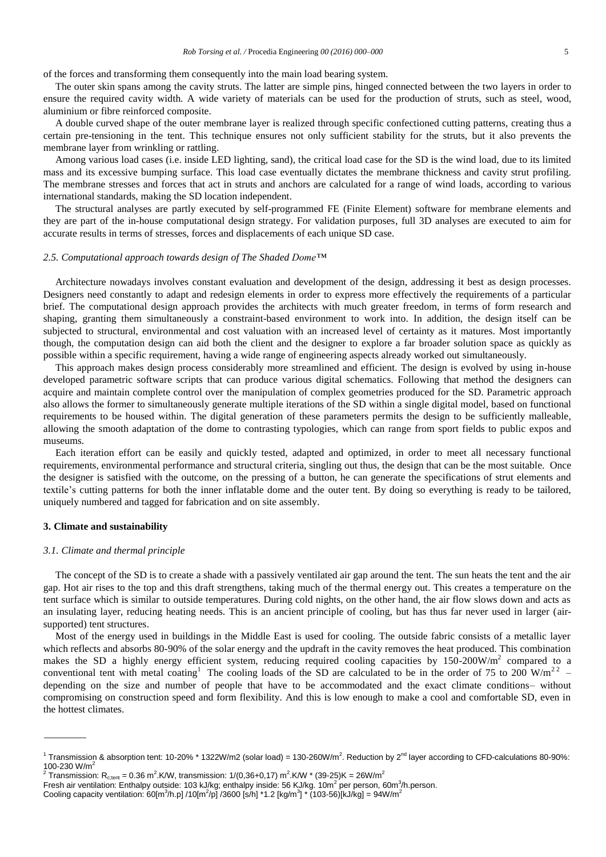of the forces and transforming them consequently into the main load bearing system.

The outer skin spans among the cavity struts. The latter are simple pins, hinged connected between the two layers in order to ensure the required cavity width. A wide variety of materials can be used for the production of struts, such as steel, wood, aluminium or fibre reinforced composite.

A double curved shape of the outer membrane layer is realized through specific confectioned cutting patterns, creating thus a certain pre-tensioning in the tent. This technique ensures not only sufficient stability for the struts, but it also prevents the membrane layer from wrinkling or rattling.

Among various load cases (i.e. inside LED lighting, sand), the critical load case for the SD is the wind load, due to its limited mass and its excessive bumping surface. This load case eventually dictates the membrane thickness and cavity strut profiling. The membrane stresses and forces that act in struts and anchors are calculated for a range of wind loads, according to various international standards, making the SD location independent.

The structural analyses are partly executed by self-programmed FE (Finite Element) software for membrane elements and they are part of the in-house computational design strategy. For validation purposes, full 3D analyses are executed to aim for accurate results in terms of stresses, forces and displacements of each unique SD case.

#### *2.5. Computational approach towards design of The Shaded Dome™*

Architecture nowadays involves constant evaluation and development of the design, addressing it best as design processes. Designers need constantly to adapt and redesign elements in order to express more effectively the requirements of a particular brief. The computational design approach provides the architects with much greater freedom, in terms of form research and shaping, granting them simultaneously a constraint-based environment to work into. In addition, the design itself can be subjected to structural, environmental and cost valuation with an increased level of certainty as it matures. Most importantly though, the computation design can aid both the client and the designer to explore a far broader solution space as quickly as possible within a specific requirement, having a wide range of engineering aspects already worked out simultaneously.

This approach makes design process considerably more streamlined and efficient. The design is evolved by using in-house developed parametric software scripts that can produce various digital schematics. Following that method the designers can acquire and maintain complete control over the manipulation of complex geometries produced for the SD. Parametric approach also allows the former to simultaneously generate multiple iterations of the SD within a single digital model, based on functional requirements to be housed within. The digital generation of these parameters permits the design to be sufficiently malleable, allowing the smooth adaptation of the dome to contrasting typologies, which can range from sport fields to public expos and museums.

Each iteration effort can be easily and quickly tested, adapted and optimized, in order to meet all necessary functional requirements, environmental performance and structural criteria, singling out thus, the design that can be the most suitable. Once the designer is satisfied with the outcome, on the pressing of a button, he can generate the specifications of strut elements and textile's cutting patterns for both the inner inflatable dome and the outer tent. By doing so everything is ready to be tailored, uniquely numbered and tagged for fabrication and on site assembly.

#### **3. Climate and sustainability**

#### *3.1. Climate and thermal principle*

The concept of the SD is to create a shade with a passively ventilated air gap around the tent. The sun heats the tent and the air gap. Hot air rises to the top and this draft strengthens, taking much of the thermal energy out. This creates a temperature on the tent surface which is similar to outside temperatures. During cold nights, on the other hand, the air flow slows down and acts as an insulating layer, reducing heating needs. This is an ancient principle of cooling, but has thus far never used in larger (airsupported) tent structures.

Most of the energy used in buildings in the Middle East is used for cooling. The outside fabric consists of a metallic layer which reflects and absorbs 80-90% of the solar energy and the updraft in the cavity removes the heat produced. This combination makes the SD a highly energy efficient system, reducing required cooling capacities by  $150-200W/m^2$  compared to a conventional tent with metal coating<sup>1</sup> The cooling loads of the SD are calculated to be in the order of 75 to 200 W/m<sup>22</sup> – depending on the size and number of people that have to be accommodated and the exact climate conditions– without compromising on construction speed and form flexibility. And this is low enough to make a cool and comfortable SD, even in the hottest climates.

<sup>&</sup>lt;sup>1</sup> Transmission & absorption tent: 10-20% \* 1322W/m2 (solar load) = 130-260W/m<sup>2</sup>. Reduction by 2<sup>nd</sup> layer according to CFD-calculations 80-90%:  $100 - 230$  W/m<sup>2</sup>

<sup>&</sup>lt;sup>2</sup> Transmission: R<sub>c;tent</sub> = 0.36 m<sup>2</sup>.K/W, transmission: 1/(0,36+0,17) m<sup>2</sup>.K/W \* (39-25)K = 26W/m<sup>2</sup>

Fresh air ventilation: Enthalpy outside: 103 kJ/kg; enthalpy inside: 56 KJ/kg. 10m<sup>2</sup> per person, 60m<sup>3</sup>/h.person.

Cooling capacity ventilation: 60[m<sup>3</sup>/h.p] /10[m<sup>2</sup>/p] /3600 [s/h] \*1.2 [kg/m<sup>3</sup>] \* (103-56)[kJ/kg] = 94W/m<sup>2</sup>